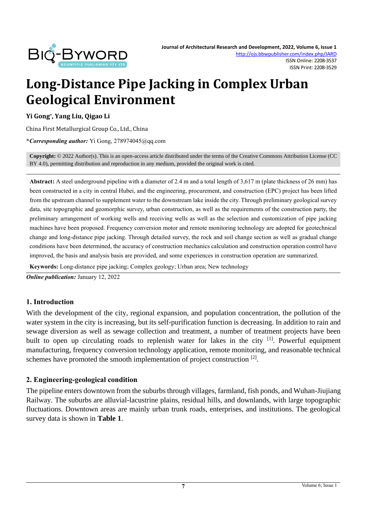

# **Long-Distance Pipe Jacking in Complex Urban Geological Environment**

#### **Yi Gong\* , Yang Liu, Qigao Li**

China First Metallurgical Group Co., Ltd., China

**\****Corresponding author:* Yi Gong, 278974045@qq.com

**Copyright:** © 2022 Author(s). This is an open-access article distributed under the terms of th[e Creative Commons Attribution License \(CC](https://creativecommons.org/licenses/by/4.0/)  [BY 4.0\),](https://creativecommons.org/licenses/by/4.0/) permitting distribution and reproduction in any medium, provided the original work is cited.

**Abstract:** A steel underground pipeline with a diameter of 2.4 m and a total length of 3,617 m (plate thickness of 26 mm) has been constructed in a city in central Hubei, and the engineering, procurement, and construction (EPC) project has been lifted from the upstream channel to supplement water to the downstream lake inside the city. Through preliminary geological survey data, site topographic and geomorphic survey, urban construction, as well as the requirements of the construction party, the preliminary arrangement of working wells and receiving wells as well as the selection and customization of pipe jacking machines have been proposed. Frequency conversion motor and remote monitoring technology are adopted for geotechnical change and long-distance pipe jacking. Through detailed survey, the rock and soil change section as well as gradual change conditions have been determined, the accuracy of construction mechanics calculation and construction operation control have improved, the basis and analysis basis are provided, and some experiences in construction operation are summarized.

**Keywords:** Long-distance pipe jacking; Complex geology; Urban area; New technology

*Online publication:* January 12, 2022

#### **1. Introduction**

With the development of the city, regional expansion, and population concentration, the pollution of the water system in the city is increasing, but its self-purification function is decreasing. In addition to rain and sewage diversion as well as sewage collection and treatment, a number of treatment projects have been built to open up circulating roads to replenish water for lakes in the city <sup>[1]</sup>. Powerful equipment manufacturing, frequency conversion technology application, remote monitoring, and reasonable technical schemes have promoted the smooth implementation of project construction  $[2]$ .

#### **2. Engineering-geological condition**

The pipeline enters downtown from the suburbs through villages, farmland, fish ponds, and Wuhan-Jiujiang Railway. The suburbs are alluvial-lacustrine plains, residual hills, and downlands, with large topographic fluctuations. Downtown areas are mainly urban trunk roads, enterprises, and institutions. The geological survey data is shown in **Table 1**.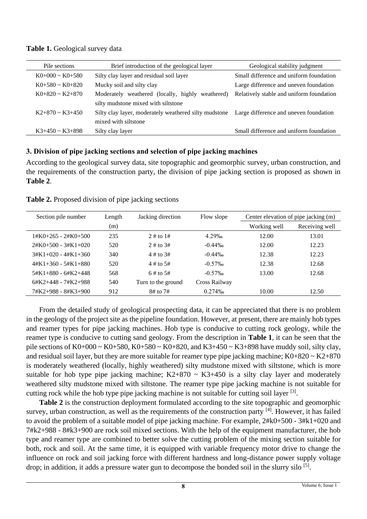| Table 1. Geological survey data |  |
|---------------------------------|--|
|---------------------------------|--|

| Pile sections        | Brief introduction of the geological layer            | Geological stability judgment            |  |
|----------------------|-------------------------------------------------------|------------------------------------------|--|
| $K0+000 \sim K0+580$ | Silty clay layer and residual soil layer              | Small difference and uniform foundation  |  |
| $K0+580 \sim K0+820$ | Mucky soil and silty clay                             | Large difference and uneven foundation   |  |
| $K0+820 \sim K2+870$ | Moderately weathered (locally, highly<br>weathered)   | Relatively stable and uniform foundation |  |
|                      | silty mudstone mixed with siltstone                   |                                          |  |
| $K2+870 \sim K3+450$ | Silty clay layer, moderately weathered silty mudstone | Large difference and uneven foundation   |  |
|                      | mixed with siltstone                                  |                                          |  |
| $K3+450 \sim K3+898$ | Silty clay layer                                      | Small difference and uniform foundation  |  |

# **3. Division of pipe jacking sections and selection of pipe jacking machines**

According to the geological survey data, site topographic and geomorphic survey, urban construction, and the requirements of the construction party, the division of pipe jacking section is proposed as shown in **Table 2**.

| Section pile number         | Length | Jacking direction  | Flow slope    | Center elevation of pipe jacking (m) |                |
|-----------------------------|--------|--------------------|---------------|--------------------------------------|----------------|
|                             | (m)    |                    |               | Working well                         | Receiving well |
| $1#K0+265 - 2#K0+500$       | 235    | $2 \#$ to $1 \#$   | 4.29‰         | 12.00                                | 13.01          |
| $2#K0+500 - 3#K1+020$       | 520    | $2 \#$ to $3 \#$   | $-0.44\%$     | 12.00                                | 12.23          |
| $3#K1+020 - 4#K1+360$       | 340    | $4 \#$ to $3 \#$   | $-0.44\%$     | 12.38                                | 12.23          |
| $4#K1+360 - 5#K1+880$       | 520    | $4 \#$ to $5 \#$   | $-0.57\%$     | 12.38                                | 12.68          |
| $5\#K1 + 880 - 6\#K2 + 448$ | 568    | $6 \#$ to $5 \#$   | $-0.57\%$     | 13.00                                | 12.68          |
| $6#K2+448 - 7#K2+988$       | 540    | Turn to the ground | Cross Railway |                                      |                |
| 7#K2+988 - 8#K3+900         | 912    | 8# to 7#           | 0.274%        | 10.00                                | 12.50          |

**Table 2.** Proposed division of pipe jacking sections

From the detailed study of geological prospecting data, it can be appreciated that there is no problem in the geology of the project site as the pipeline foundation. However, at present, there are mainly hob types and reamer types for pipe jacking machines. Hob type is conducive to cutting rock geology, while the reamer type is conducive to cutting sand geology. From the description in **Table 1**, it can be seen that the pile sections of  $K0+000 \sim K0+580$ ,  $K0+580 \sim K0+820$ , and  $K3+450 \sim K3+898$  have muddy soil, silty clay, and residual soil layer, but they are more suitable for reamer type pipe jacking machine;  $K0+820 \sim K2+870$ is moderately weathered (locally, highly weathered) silty mudstone mixed with siltstone, which is more suitable for hob type pipe jacking machine;  $K2+870 \sim K3+450$  is a silty clay layer and moderately weathered silty mudstone mixed with siltstone. The reamer type pipe jacking machine is not suitable for cutting rock while the hob type pipe jacking machine is not suitable for cutting soil layer <sup>[3]</sup>.

**Table 2** is the construction deployment formulated according to the site topographic and geomorphic survey, urban construction, as well as the requirements of the construction party [4]. However, it has failed to avoid the problem of a suitable model of pipe jacking machine. For example, 2#k0+500 - 3#k1+020 and 7#k2+988 - 8#k3+900 are rock soil mixed sections. With the help of the equipment manufacturer, the hob type and reamer type are combined to better solve the cutting problem of the mixing section suitable for both, rock and soil. At the same time, it is equipped with variable frequency motor drive to change the influence on rock and soil jacking force with different hardness and long-distance power supply voltage drop; in addition, it adds a pressure water gun to decompose the bonded soil in the slurry silo <sup>[5]</sup>.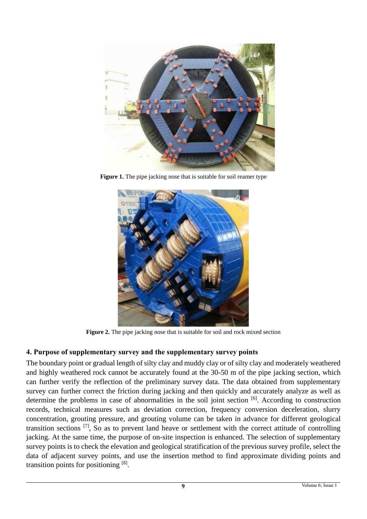

**Figure 1.** The pipe jacking nose that is suitable for soil reamer type



**Figure 2.** The pipe jacking nose that is suitable for soil and rock mixed section

# **4. Purpose of supplementary survey and the supplementary survey points**

The boundary point or gradual length of silty clay and muddy clay or of silty clay and moderately weathered and highly weathered rock cannot be accurately found at the 30-50 m of the pipe jacking section, which can further verify the reflection of the preliminary survey data. The data obtained from supplementary survey can further correct the friction during jacking and then quickly and accurately analyze as well as determine the problems in case of abnormalities in the soil joint section [6]. According to construction records, technical measures such as deviation correction, frequency conversion deceleration, slurry concentration, grouting pressure, and grouting volume can be taken in advance for different geological transition sections [7], So as to prevent land heave or settlement with the correct attitude of controlling jacking. At the same time, the purpose of on-site inspection is enhanced. The selection of supplementary survey points is to check the elevation and geological stratification of the previous survey profile, select the data of adjacent survey points, and use the insertion method to find approximate dividing points and transition points for positioning [8].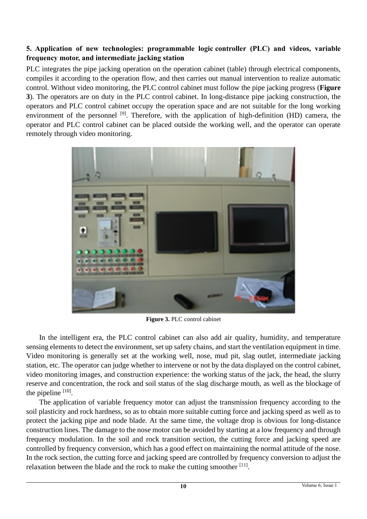# **5. Application of new technologies: programmable logic controller (PLC) and videos, variable frequency motor, and intermediate jacking station**

PLC integrates the pipe jacking operation on the operation cabinet (table) through electrical components, compiles it according to the operation flow, and then carries out manual intervention to realize automatic control. Without video monitoring, the PLC control cabinet must follow the pipe jacking progress (**Figure 3**). The operators are on duty in the PLC control cabinet. In long-distance pipe jacking construction, the operators and PLC control cabinet occupy the operation space and are not suitable for the long working environment of the personnel  $[9]$ . Therefore, with the application of high-definition (HD) camera, the operator and PLC control cabinet can be placed outside the working well, and the operator can operate remotely through video monitoring.



**Figure 3.** PLC control cabinet

In the intelligent era, the PLC control cabinet can also add air quality, humidity, and temperature sensing elements to detect the environment, set up safety chains, and start the ventilation equipment in time. Video monitoring is generally set at the working well, nose, mud pit, slag outlet, intermediate jacking station, etc. The operator can judge whether to intervene or not by the data displayed on the control cabinet, video monitoring images, and construction experience: the working status of the jack, the head, the slurry reserve and concentration, the rock and soil status of the slag discharge mouth, as well as the blockage of the pipeline  $[10]$ .

The application of variable frequency motor can adjust the transmission frequency according to the soil plasticity and rock hardness, so as to obtain more suitable cutting force and jacking speed as well as to protect the jacking pipe and node blade. At the same time, the voltage drop is obvious for long-distance construction lines. The damage to the nose motor can be avoided by starting at a low frequency and through frequency modulation. In the soil and rock transition section, the cutting force and jacking speed are controlled by frequency conversion, which has a good effect on maintaining the normal attitude of the nose. In the rock section, the cutting force and jacking speed are controlled by frequency conversion to adjust the relaxation between the blade and the rock to make the cutting smoother  $[11]$ .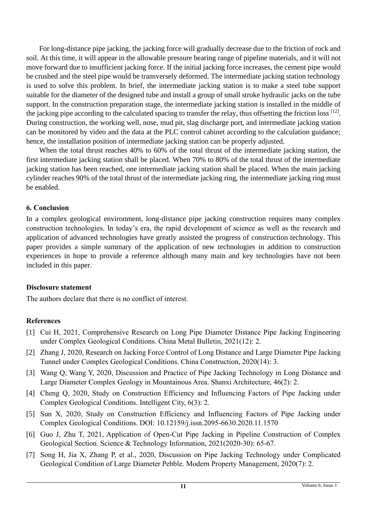For long-distance pipe jacking, the jacking force will gradually decrease due to the friction of rock and soil. At this time, it will appear in the allowable pressure bearing range of pipeline materials, and it will not move forward due to insufficient jacking force. If the initial jacking force increases, the cement pipe would be crushed and the steel pipe would be transversely deformed. The intermediate jacking station technology is used to solve this problem. In brief, the intermediate jacking station is to make a steel tube support suitable for the diameter of the designed tube and install a group of small stroke hydraulic jacks on the tube support. In the construction preparation stage, the intermediate jacking station is installed in the middle of the jacking pipe according to the calculated spacing to transfer the relay, thus offsetting the friction loss [12]. During construction, the working well, nose, mud pit, slag discharge port, and intermediate jacking station can be monitored by video and the data at the PLC control cabinet according to the calculation guidance; hence, the installation position of intermediate jacking station can be properly adjusted.

When the total thrust reaches 40% to 60% of the total thrust of the intermediate jacking station, the first intermediate jacking station shall be placed. When 70% to 80% of the total thrust of the intermediate jacking station has been reached, one intermediate jacking station shall be placed. When the main jacking cylinder reaches 90% of the total thrust of the intermediate jacking ring, the intermediate jacking ring must be enabled.

#### **6. Conclusion**

In a complex geological environment, long-distance pipe jacking construction requires many complex construction technologies. In today's era, the rapid development of science as well as the research and application of advanced technologies have greatly assisted the progress of construction technology. This paper provides a simple summary of the application of new technologies in addition to construction experiences in hope to provide a reference although many main and key technologies have not been included in this paper.

## **Disclosure statement**

The authors declare that there is no conflict of interest.

## **References**

- [1] Cui H, 2021, Comprehensive Research on Long Pipe Diameter Distance Pipe Jacking Engineering under Complex Geological Conditions. China Metal Bulletin, 2021(12): 2.
- [2] Zhang J, 2020, Research on Jacking Force Control of Long Distance and Large Diameter Pipe Jacking Tunnel under Complex Geological Conditions. China Construction, 2020(14): 3.
- [3] Wang Q, Wang Y, 2020, Discussion and Practice of Pipe Jacking Technology in Long Distance and Large Diameter Complex Geology in Mountainous Area. Shanxi Architecture, 46(2): 2.
- [4] Cheng Q, 2020, Study on Construction Efficiency and Influencing Factors of Pipe Jacking under Complex Geological Conditions. Intelligent City, 6(3): 2.
- [5] Sun X, 2020, Study on Construction Efficiency and Influencing Factors of Pipe Jacking under Complex Geological Conditions. DOI: 10.12159/j.issn.2095-6630.2020.11.1570
- [6] Guo J, Zhu T, 2021, Application of Open-Cut Pipe Jacking in Pipeline Construction of Complex Geological Section. Science & Technology Information, 2021(2020-30): 65-67.
- [7] Song H, Jia X, Zhang P, et al., 2020, Discussion on Pipe Jacking Technology under Complicated Geological Condition of Large Diameter Pebble. Modern Property Management, 2020(7): 2.